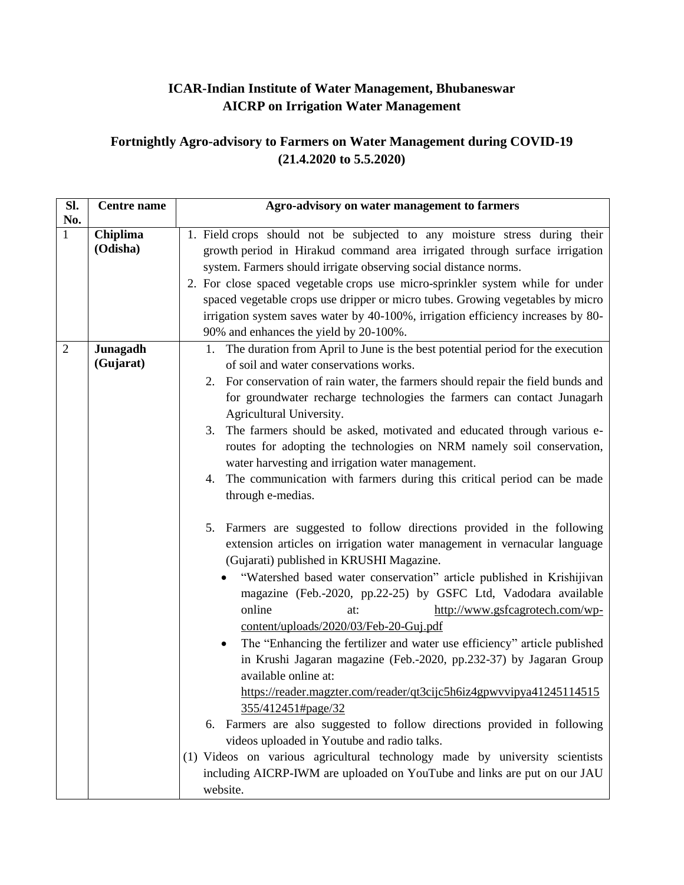## **ICAR-Indian Institute of Water Management, Bhubaneswar AICRP on Irrigation Water Management**

## **Fortnightly Agro-advisory to Farmers on Water Management during COVID-19 (21.4.2020 to 5.5.2020)**

| Sl.            | <b>Centre</b> name    | Agro-advisory on water management to farmers                                                                                                                                                                                                                                                                                                                                                                                                                                                                                                                                                                                                                                                                                                                                                                                                                                                                                                                                                                                                                                                                                                                                                                                                                                                                                                                                                                                                                                                                                                                                                                                                                      |
|----------------|-----------------------|-------------------------------------------------------------------------------------------------------------------------------------------------------------------------------------------------------------------------------------------------------------------------------------------------------------------------------------------------------------------------------------------------------------------------------------------------------------------------------------------------------------------------------------------------------------------------------------------------------------------------------------------------------------------------------------------------------------------------------------------------------------------------------------------------------------------------------------------------------------------------------------------------------------------------------------------------------------------------------------------------------------------------------------------------------------------------------------------------------------------------------------------------------------------------------------------------------------------------------------------------------------------------------------------------------------------------------------------------------------------------------------------------------------------------------------------------------------------------------------------------------------------------------------------------------------------------------------------------------------------------------------------------------------------|
| No.<br>1       | Chiplima<br>(Odisha)  | 1. Field crops should not be subjected to any moisture stress during their<br>growth period in Hirakud command area irrigated through surface irrigation<br>system. Farmers should irrigate observing social distance norms.<br>2. For close spaced vegetable crops use micro-sprinkler system while for under<br>spaced vegetable crops use dripper or micro tubes. Growing vegetables by micro<br>irrigation system saves water by 40-100%, irrigation efficiency increases by 80-<br>90% and enhances the yield by 20-100%.                                                                                                                                                                                                                                                                                                                                                                                                                                                                                                                                                                                                                                                                                                                                                                                                                                                                                                                                                                                                                                                                                                                                    |
| $\overline{2}$ | Junagadh<br>(Gujarat) | The duration from April to June is the best potential period for the execution<br>1.<br>of soil and water conservations works.<br>2. For conservation of rain water, the farmers should repair the field bunds and<br>for groundwater recharge technologies the farmers can contact Junagarh<br>Agricultural University.<br>The farmers should be asked, motivated and educated through various e-<br>3.<br>routes for adopting the technologies on NRM namely soil conservation,<br>water harvesting and irrigation water management.<br>The communication with farmers during this critical period can be made<br>4.<br>through e-medias.<br>5. Farmers are suggested to follow directions provided in the following<br>extension articles on irrigation water management in vernacular language<br>(Gujarati) published in KRUSHI Magazine.<br>"Watershed based water conservation" article published in Krishijivan<br>magazine (Feb.-2020, pp.22-25) by GSFC Ltd, Vadodara available<br>online<br>http://www.gsfcagrotech.com/wp-<br>at:<br>content/uploads/2020/03/Feb-20-Guj.pdf<br>The "Enhancing the fertilizer and water use efficiency" article published<br>in Krushi Jagaran magazine (Feb.-2020, pp.232-37) by Jagaran Group<br>available online at:<br>https://reader.magzter.com/reader/qt3cijc5h6iz4gpwvvipya41245114515<br>355/412451#page/32<br>6. Farmers are also suggested to follow directions provided in following<br>videos uploaded in Youtube and radio talks.<br>(1) Videos on various agricultural technology made by university scientists<br>including AICRP-IWM are uploaded on YouTube and links are put on our JAU<br>website. |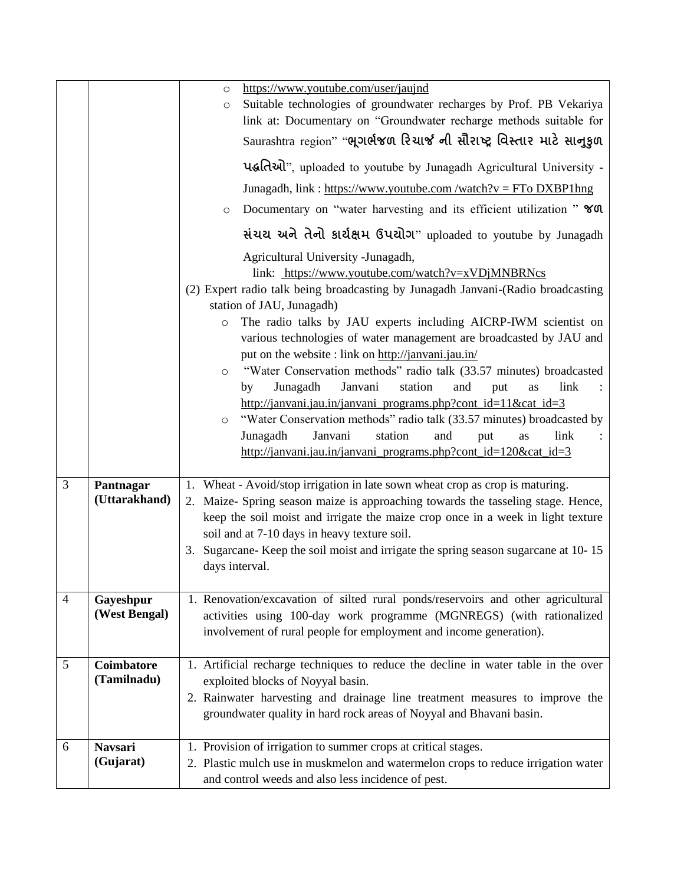|   |                            | https://www.youtube.com/user/jaujnd<br>$\circ$                                                                                                                                                                                                                                                                                                                                                                                                                                                         |
|---|----------------------------|--------------------------------------------------------------------------------------------------------------------------------------------------------------------------------------------------------------------------------------------------------------------------------------------------------------------------------------------------------------------------------------------------------------------------------------------------------------------------------------------------------|
|   |                            | Suitable technologies of groundwater recharges by Prof. PB Vekariya<br>$\circ$                                                                                                                                                                                                                                                                                                                                                                                                                         |
|   |                            | link at: Documentary on "Groundwater recharge methods suitable for                                                                                                                                                                                                                                                                                                                                                                                                                                     |
|   |                            | Saurashtra region" "ભૂગર્ભજળ રિચાર્જ ની સૌરાષ્ટ્ર વિસ્તાર માટે સાનુકુળ                                                                                                                                                                                                                                                                                                                                                                                                                                 |
|   |                            | पद्धतिथो", uploaded to youtube by Junagadh Agricultural University -                                                                                                                                                                                                                                                                                                                                                                                                                                   |
|   |                            | Junagadh, link : https://www.youtube.com /watch?v = FTo DXBP1hng                                                                                                                                                                                                                                                                                                                                                                                                                                       |
|   |                            | Documentary on "water harvesting and its efficient utilization" YOU<br>$\circ$                                                                                                                                                                                                                                                                                                                                                                                                                         |
|   |                            | સંચય અને તેનો કાર્યક્ષમ ઉપયોગ" uploaded to youtube by Junagadh                                                                                                                                                                                                                                                                                                                                                                                                                                         |
|   |                            | Agricultural University -Junagadh,<br>link: https://www.youtube.com/watch?v=xVDjMNBRNcs<br>(2) Expert radio talk being broadcasting by Junagadh Janvani-(Radio broadcasting<br>station of JAU, Junagadh)<br>The radio talks by JAU experts including AICRP-IWM scientist on<br>$\circ$<br>various technologies of water management are broadcasted by JAU and                                                                                                                                          |
|   |                            | put on the website : link on http://janvani.jau.in/<br>"Water Conservation methods" radio talk (33.57 minutes) broadcasted<br>$\circ$<br>Junagadh<br>Janvani<br>station<br>link<br>and<br>by<br>put<br>as<br>http://janvani.jau.in/janvani programs.php?cont $id=11$ &cat $id=3$<br>"Water Conservation methods" radio talk (33.57 minutes) broadcasted by<br>$\circ$<br>Janvani<br>station<br>link<br>Junagadh<br>and<br>put<br>as<br>http://janvani.jau.in/janvani_programs.php?cont_id=120&cat_id=3 |
| 3 | Pantnagar<br>(Uttarakhand) | 1. Wheat - Avoid/stop irrigation in late sown wheat crop as crop is maturing.<br>Maize- Spring season maize is approaching towards the tasseling stage. Hence,<br>2.<br>keep the soil moist and irrigate the maize crop once in a week in light texture<br>soil and at 7-10 days in heavy texture soil.<br>3. Sugarcane-Keep the soil moist and irrigate the spring season sugarcane at 10-15<br>days interval.                                                                                        |
| 4 | Gayeshpur<br>(West Bengal) | 1. Renovation/excavation of silted rural ponds/reservoirs and other agricultural<br>activities using 100-day work programme (MGNREGS) (with rationalized<br>involvement of rural people for employment and income generation).                                                                                                                                                                                                                                                                         |
| 5 | <b>Coimbatore</b>          | 1. Artificial recharge techniques to reduce the decline in water table in the over                                                                                                                                                                                                                                                                                                                                                                                                                     |
|   | (Tamilnadu)                | exploited blocks of Noyyal basin.                                                                                                                                                                                                                                                                                                                                                                                                                                                                      |
|   |                            | 2. Rainwater harvesting and drainage line treatment measures to improve the<br>groundwater quality in hard rock areas of Noyyal and Bhavani basin.                                                                                                                                                                                                                                                                                                                                                     |
| 6 | <b>Navsari</b>             | 1. Provision of irrigation to summer crops at critical stages.                                                                                                                                                                                                                                                                                                                                                                                                                                         |
|   | (Gujarat)                  | 2. Plastic mulch use in muskmelon and watermelon crops to reduce irrigation water<br>and control weeds and also less incidence of pest.                                                                                                                                                                                                                                                                                                                                                                |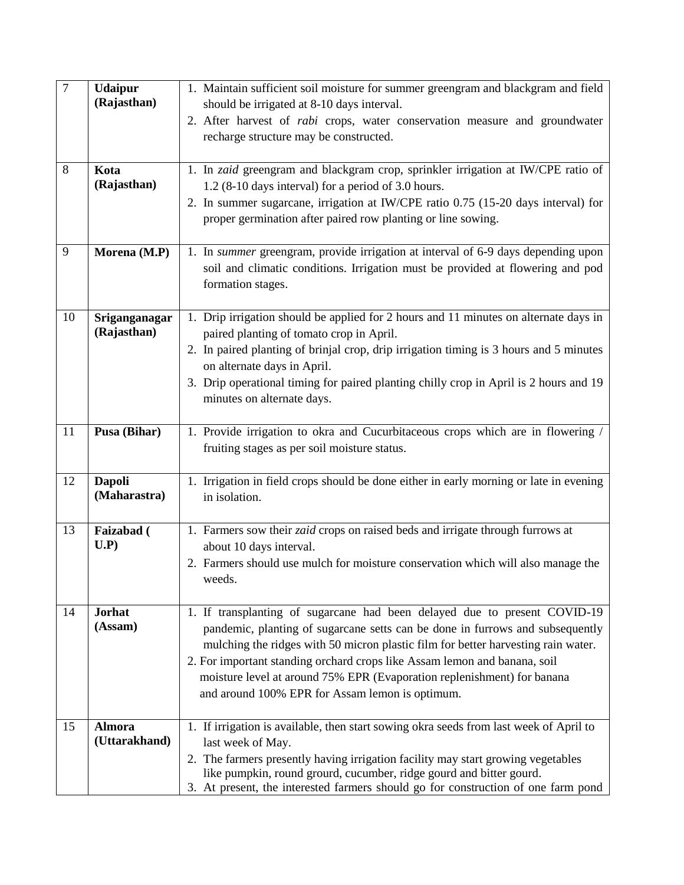| $\overline{7}$ | <b>Udaipur</b><br>(Rajasthan)  | 1. Maintain sufficient soil moisture for summer greengram and blackgram and field<br>should be irrigated at 8-10 days interval.                                                                                                                                                                                                                                                                                                                            |
|----------------|--------------------------------|------------------------------------------------------------------------------------------------------------------------------------------------------------------------------------------------------------------------------------------------------------------------------------------------------------------------------------------------------------------------------------------------------------------------------------------------------------|
|                |                                | 2. After harvest of <i>rabi</i> crops, water conservation measure and groundwater<br>recharge structure may be constructed.                                                                                                                                                                                                                                                                                                                                |
| 8              | Kota<br>(Rajasthan)            | 1. In zaid greengram and blackgram crop, sprinkler irrigation at IW/CPE ratio of<br>1.2 (8-10 days interval) for a period of 3.0 hours.<br>2. In summer sugarcane, irrigation at IW/CPE ratio 0.75 (15-20 days interval) for<br>proper germination after paired row planting or line sowing.                                                                                                                                                               |
| 9              | Morena (M.P)                   | 1. In summer greengram, provide irrigation at interval of 6-9 days depending upon<br>soil and climatic conditions. Irrigation must be provided at flowering and pod<br>formation stages.                                                                                                                                                                                                                                                                   |
| 10             | Sriganganagar<br>(Rajasthan)   | 1. Drip irrigation should be applied for 2 hours and 11 minutes on alternate days in<br>paired planting of tomato crop in April.<br>2. In paired planting of brinjal crop, drip irrigation timing is 3 hours and 5 minutes<br>on alternate days in April.<br>3. Drip operational timing for paired planting chilly crop in April is 2 hours and 19<br>minutes on alternate days.                                                                           |
| 11             | Pusa (Bihar)                   | 1. Provide irrigation to okra and Cucurbitaceous crops which are in flowering /<br>fruiting stages as per soil moisture status.                                                                                                                                                                                                                                                                                                                            |
| 12             | <b>Dapoli</b><br>(Maharastra)  | 1. Irrigation in field crops should be done either in early morning or late in evening<br>in isolation.                                                                                                                                                                                                                                                                                                                                                    |
| 13             | Faizabad (<br>U.P)             | 1. Farmers sow their <i>zaid</i> crops on raised beds and irrigate through furrows at<br>about 10 days interval.<br>2. Farmers should use mulch for moisture conservation which will also manage the<br>weeds.                                                                                                                                                                                                                                             |
| 14             | <b>Jorhat</b><br>(Assam)       | 1. If transplanting of sugarcane had been delayed due to present COVID-19<br>pandemic, planting of sugarcane setts can be done in furrows and subsequently<br>mulching the ridges with 50 micron plastic film for better harvesting rain water.<br>2. For important standing orchard crops like Assam lemon and banana, soil<br>moisture level at around 75% EPR (Evaporation replenishment) for banana<br>and around 100% EPR for Assam lemon is optimum. |
| 15             | <b>Almora</b><br>(Uttarakhand) | 1. If irrigation is available, then start sowing okra seeds from last week of April to<br>last week of May.<br>2. The farmers presently having irrigation facility may start growing vegetables<br>like pumpkin, round grourd, cucumber, ridge gourd and bitter gourd.<br>3. At present, the interested farmers should go for construction of one farm pond                                                                                                |